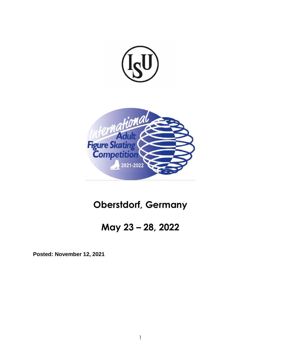



# **Oberstdorf, Germany**

# **May 23 – 28, 2022**

**Posted: November 12, 2021**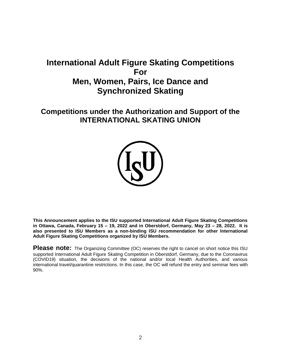# **International Adult Figure Skating Competitions For Men, Women, Pairs, Ice Dance and Synchronized Skating**

# **Competitions under the Authorization and Support of the INTERNATIONAL SKATING UNION**



**This Announcement applies to the ISU supported International Adult Figure Skating Competitions in Ottawa, Canada, February 15 – 19, 2022 and in Oberstdorf, Germany, May 23 – 28, 2022. It is also presented to ISU Members as a non-binding ISU recommendation for other International Adult Figure Skating Competitions organized by ISU Members.**

**Please note:** The Organizing Committee (OC) reserves the right to cancel on short notice this ISU supported International Adult Figure Skating Competition in Oberstdorf, Germany, due to the Coronavirus (COVID19) situation, the decisions of the national and/or local Health Authorities, and various international travel/quarantine restrictions. In this case, the OC will refund the entry and seminar fees with 90%.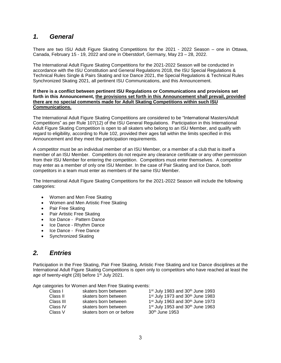# *1. General*

There are two ISU Adult Figure Skating Competitions for the 2021 - 2022 Season – one in Ottawa, Canada, February 15 - 19, 2022 and one in Oberstdorf, Germany, May 23 – 28, 2022.

The International Adult Figure Skating Competitions for the 2021-2022 Season will be conducted in accordance with the ISU Constitution and General Regulations 2018, the ISU Special Regulations & Technical Rules Single & Pairs Skating and Ice Dance 2021, the Special Regulations & Technical Rules Synchronized Skating 2021, all pertinent ISU Communications, and this Announcement.

#### **If there is a conflict between pertinent ISU Regulations or Communications and provisions set forth in this Announcement, the provisions set forth in this Announcement shall prevail, provided there are no special comments made for Adult Skating Competitions within such ISU Communications.**

The International Adult Figure Skating Competitions are considered to be "International Masters/Adult Competitions" as per Rule 107(12) of the ISU General Regulations. Participation in this International Adult Figure Skating Competition is open to all skaters who belong to an ISU Member, and qualify with regard to eligibility, according to Rule 102, provided their ages fall within the limits specified in this Announcement and they meet the participation requirements.

A competitor must be an individual member of an ISU Member, or a member of a club that is itself a member of an ISU Member. Competitors do not require any clearance certificate or any other permission from their ISU Member for entering the competition. Competitors must enter themselves. A competitor may enter as a member of only one ISU Member. In the case of Pair Skating and Ice Dance, both competitors in a team must enter as members of the same ISU Member.

The International Adult Figure Skating Competitions for the 2021-2022 Season will include the following categories:

- Women and Men Free Skating
- Women and Men Artistic Free Skating
- Pair Free Skating
- Pair Artistic Free Skating
- Ice Dance Pattern Dance
- Ice Dance Rhythm Dance
- Ice Dance Free Dance
- Synchronized Skating

# *2. Entries*

Participation in the Free Skating, Pair Free Skating, Artistic Free Skating and Ice Dance disciplines at the International Adult Figure Skating Competitions is open only to competitors who have reached at least the age of twenty-eight (28) before 1st July 2021.

Age categories for Women and Men Free Skating events:

| Class I   | skaters born between      | 1 <sup>st</sup> July 1983 and 30 <sup>th</sup> June 1993 |
|-----------|---------------------------|----------------------------------------------------------|
| Class II  | skaters born between      | 1st July 1973 and 30th June 1983                         |
| Class III | skaters born between      | 1st July 1963 and 30th June 1973                         |
| Class IV  | skaters born between      | 1 <sup>st</sup> July 1953 and 30 <sup>th</sup> June 1963 |
| Class V   | skaters born on or before | 30 <sup>th</sup> June 1953                               |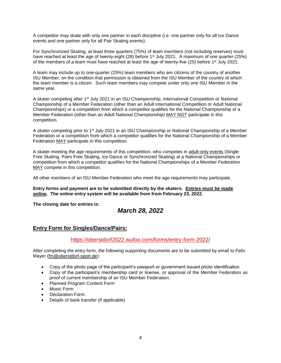A competitor may skate with only one partner in each discipline (i.e. one partner only for all Ice Dance events and one partner only for all Pair Skating events).

For Synchronized Skating, at least three quarters (75%) of team members (not including reserves) must have reached at least the age of twenty-eight (28) before 1st July 2021. A maximum of one quarter (25%) of the members of a team must have reached at least the age of twenty-five (25) before  $1<sup>st</sup>$  July 2021.

A team may include up to one-quarter (25%) team members who are citizens of the country of another ISU Member, on the condition that permission is obtained from the ISU Member of the country of which the team member is a citizen. Such team members may compete under only one ISU Member in the same year.

A skater competing after 1<sup>st</sup> July 2021 in an ISU Championship, International Competition or National Championship of a Member Federation (other than an Adult International Competition or Adult National Championships) or a competition from which a competitor qualifies for the National Championship of a Member Federation (other than an Adult National Championship) MAY NOT participate in this competition.

A skater competing prior to 1<sup>st</sup> July 2021 in an ISU Championship or National Championship of a Member Federation or a competition from which a competitor qualifies for the National Championship of a Member Federation MAY participate in this competition.

A skater meeting the age requirements of this competition, who competes in adult-only events (Single Free Skating, Pairs Free Skating, Ice Dance or Synchronized Skating) at a National Championships or competition from which a competitor qualifies for the National Championships of a Member Federation MAY compete in this competition.

All other members of an ISU Member Federation who meet the age requirements may participate.

**Entry forms and payment are to be submitted directly by the skaters. Entries must be made online. The online entry system will be available from from February 23, 2022.**

**The closing date for entries is:** 

# *March 28, 2022*

### **Entry Form for Singles/Dance/Pairs:**

#### <https://oberstdorf2022.wufoo.com/forms/entry-form-2022/>

After completing the entry form, the following supporting documents are to be submitted by email to Felix Mayer [\(fm@oberstdorf-sport.de\)](mailto:fm@oberstdorf-sport.de):

- Copy of the photo page of the participant's passport or government issued photo identification
- Copy of the participant's membership card or license, or approval of the Member Federation as proof of current membership of an ISU Member Federation.
- Planned Program Content Form
- Music Form
- Declaration Form
- Details of bank transfer (if applicable)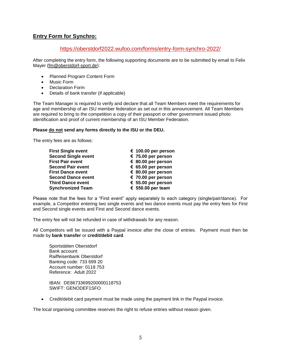## **Entry Form for Synchro:**

### <https://oberstdorf2022.wufoo.com/forms/entry-form-synchro-2022/>

After completing the entry form, the following supporting documents are to be submitted by email to Felix Mayer [\(fm@oberstdorf-sport.de\)](mailto:fm@oberstdorf-sport.de):

- Planned Program Content Form
- Music Form
- Declaration Form
- Details of bank transfer (if applicable)

The Team Manager is required to verify and declare that all Team Members meet the requirements for age and membership of an ISU member federation as set out in this announcement. All Team Members are required to bring to the competition a copy of their passport or other government issued photo identification and proof of current membership of an ISU Member Federation.

#### **Please do not send any forms directly to the ISU or the DEU.**

The entry fees are as follows:

| <b>First Single event</b>  | € 100.00 per person |
|----------------------------|---------------------|
| <b>Second Single event</b> | € 75.00 per person  |
| <b>First Pair event</b>    | € 80.00 per person  |
| <b>Second Pair event</b>   | € 65.00 per person  |
| <b>First Dance event</b>   | € 80.00 per person  |
| <b>Second Dance event</b>  | € 70.00 per person  |
| <b>Third Dance event</b>   | € 55.00 per person  |
| <b>Synchronized Team</b>   | € 550.00 per team   |

Please note that the fees for a "First event" apply separately to each category (single/pair/dance). For example, a Competitor entering two single events and two dance events must pay the entry fees for First and Second single events and First and Second dance events.

The entry fee will not be refunded in case of withdrawals for any reason.

All Competitors will be issued with a Paypal invoice after the close of entries. Payment must then be made by **bank transfer** or **credit/debit card**.

Sportstätten Oberstdorf Bank account: Raiffeisenbank Oberstdorf Banking code: 733 699 20 Account number: 0118 753 Reference: Adult 2022

IBAN: DE86733699200000118753 SWIFT: GENODEF1SFO

Credit/debit card payment must be made using the payment link in the Paypal invoice.

The local organising committee reserves the right to refuse entries without reason given.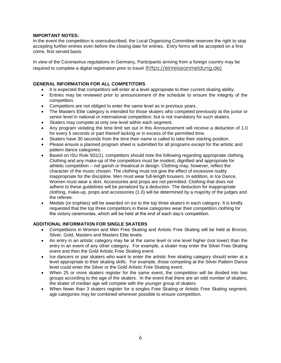#### **IMPORTANT NOTES:**

In the event the competition is oversubscribed, the Local Organizing Committee reserves the right to stop accepting further entries even before the closing date for entries. Entry forms will be accepted on a first come, first served basis.

In view of the Coronavirus regulations in Germany, Participants arriving from a foreign country may be required to complete a digital registration prior to travel [\(https://einreiseanmeldung.de\)](https://www.einreiseanmeldung.de/)

#### **GENERAL INFORMATION FOR ALL COMPETITORS**

- It is expected that competitors will enter at a level appropriate to their current skating ability.
- Entries may be reviewed prior to announcement of the schedule to ensure the integrity of the competition.
- Competitors are not obliged to enter the same level as in previous years.
- The Masters Elite category is intended for those skaters who competed previously at the junior or senior level in national or international competition, but is not mandatory for such skaters.
- Skaters may compete at only one level within each segment.
- Any program violating the time limit set out in this Announcement will receive a deduction of 1.0 for every 5 seconds or part thereof lacking or in excess of the permitted time.
- Skaters have 30 seconds from the time their name is called to take their starting position.
- Please ensure a planned program sheet is submitted for all programs except for the artistic and pattern dance categories.
- Based on ISU Rule 501(1), competitors should note the following regarding appropriate clothing. Clothing and any make-up of the competitors must be modest, dignified and appropriate for athletic competition – not garish or theatrical in design. Clothing may, however, reflect the character of the music chosen. The clothing must not give the effect of excessive nudity inappropriate for the discipline. Men must wear full-length trousers. In addition, in Ice Dance, Women must wear a skirt. Accessories and props are not permitted. Clothing that does not adhere to these guidelines will be penalized by a deduction. The deduction for inappropriate clothing, make-up, props and accessories (1.0) will be determined by a majority of the judges and the referee.
- Medals (or trophies) will be awarded on ice to the top three skaters in each category. It is kindly requested that the top three competitors in these categories wear their competition clothing for the victory ceremonies, which will be held at the end of each day's competition.

#### **ADDITIONAL INFORMATION FOR SINGLE SKATERS**

- Competitions in Women and Men Free Skating and Artistic Free Skating will be held at Bronze, Silver, Gold, Masters and Masters Elite levels.
- An entry in an artistic category may be at the same level or one level higher (not lower) than the entry in an event of any other category. For example, a skater may enter the Silver Free Skating event and then the Gold Artistic Free Skating event.
- Ice dancers or pair skaters who want to enter the artistic free skating category should enter at a level appropriate to their skating skills. For example, those competing at the Silver Pattern Dance level could enter the Silver or the Gold Artistic Free Skating event.
- When 25 or more skaters register for the same event, the competition will be divided into two groups according to the age of the skaters. In the event that there are an odd number of skaters, the skater of median age will compete with the younger group of skaters.
- When fewer than 3 skaters register for a singles Free Skating or Artistic Free Skating segment, age categories may be combined wherever possible to ensure competition.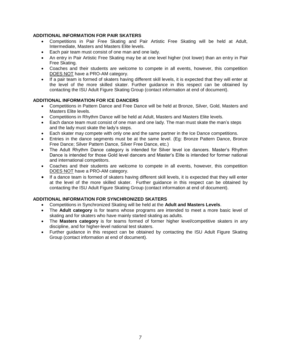### **ADDITIONAL INFORMATION FOR PAIR SKATERS**

- Competitions in Pair Free Skating and Pair Artistic Free Skating will be held at Adult, Intermediate, Masters and Masters Elite levels.
- Each pair team must consist of one man and one lady.
- An entry in Pair Artistic Free Skating may be at one level higher (not lower) than an entry in Pair Free Skating.
- Coaches and their students are welcome to compete in all events, however, this competition DOES NOT have a PRO-AM category.
- If a pair team is formed of skaters having different skill levels, it is expected that they will enter at the level of the more skilled skater. Further guidance in this respect can be obtained by contacting the ISU Adult Figure Skating Group (contact information at end of document).

#### **ADDITIONAL INFORMATION FOR ICE DANCERS**

- Competitions in Pattern Dance and Free Dance will be held at Bronze, Silver, Gold, Masters and Masters Elite levels.
- Competitions in Rhythm Dance will be held at Adult, Masters and Masters Elite levels.
- Each dance team must consist of one man and one lady. The man must skate the man's steps and the lady must skate the lady's steps.
- Each skater may compete with only one and the same partner in the Ice Dance competitions.
- Entries in the dance segments must be at the same level. (Eg: Bronze Pattern Dance, Bronze Free Dance; Silver Pattern Dance, Silver Free Dance, etc.)
- The Adult Rhythm Dance category is intended for Silver level ice dancers. Master's Rhythm Dance is intended for those Gold level dancers and Master's Elite is intended for former national and international competitors.
- Coaches and their students are welcome to compete in all events, however, this competition DOES NOT have a PRO-AM category.
- If a dance team is formed of skaters having different skill levels, it is expected that they will enter at the level of the more skilled skater. Further guidance in this respect can be obtained by contacting the ISU Adult Figure Skating Group (contact information at end of document).

#### **ADDITIONAL INFORMATION FOR SYNCHRONIZED SKATERS**

- Competitions in Synchronized Skating will be held at the **Adult and Masters Levels**.
- The **Adult category** is for teams whose programs are intended to meet a more basic level of skating and for skaters who have mainly started skating as adults.
- The **Masters category** is for teams formed of former higher level/competitive skaters in any discipline, and for higher-level national test skaters.
- Further guidance in this respect can be obtained by contacting the ISU Adult Figure Skating Group (contact information at end of document).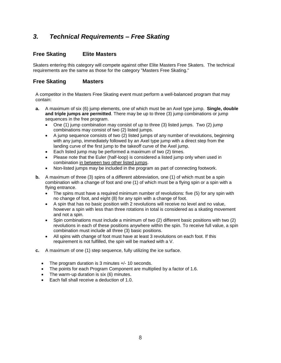# *3. Technical Requirements – Free Skating*

### **Free Skating Elite Masters**

Skaters entering this category will compete against other Elite Masters Free Skaters. The technical requirements are the same as those for the category "Masters Free Skating."

#### **Free Skating Masters**

A competitor in the Masters Free Skating event must perform a well-balanced program that may contain:

- **a.** A maximum of six (6) jump elements, one of which must be an Axel type jump. **Single, double and triple jumps are permitted**. There may be up to three (3) jump combinations or jump sequences in the free program.
	- One (1) jump combination may consist of up to three (3) listed jumps. Two (2) jump combinations may consist of two (2) listed jumps.
	- A jump sequence consists of two (2) listed jumps of any number of revolutions, beginning with any jump, immediately followed by an Axel type jump with a direct step from the landing curve of the first jump to the takeoff curve of the Axel jump.
	- Each listed jump may be performed a maximum of two (2) times.
	- Please note that the Euler (half-loop) is considered a listed jump only when used in combination in between two other listed jumps.
	- Non-listed jumps may be included in the program as part of connecting footwork.
- **b.** A maximum of three (3) spins of a different abbreviation, one (1) of which must be a spin combination with a change of foot and one (1) of which must be a flying spin or a spin with a flying entrance.
	- The spins must have a required minimum number of revolutions: five (5) for any spin with no change of foot, and eight (8) for any spin with a change of foot.
	- A spin that has no basic position with 2 revolutions will receive no level and no value, however a spin with less than three rotations in total is considered as a skating movement and not a spin.
	- Spin combinations must include a minimum of two (2) different basic positions with two (2) revolutions in each of these positions anywhere within the spin. To receive full value, a spin combination must include all three (3) basic positions.
	- All spins with change of foot must have at least 3 revolutions on each foot. If this requirement is not fulfilled, the spin will be marked with a V.
- **c.** A maximum of one (1) step sequence, fully utilizing the ice surface.
	- The program duration is 3 minutes  $+/- 10$  seconds.
	- The points for each Program Component are multiplied by a factor of 1.6.
	- The warm-up duration is six (6) minutes.
	- Each fall shall receive a deduction of 1.0.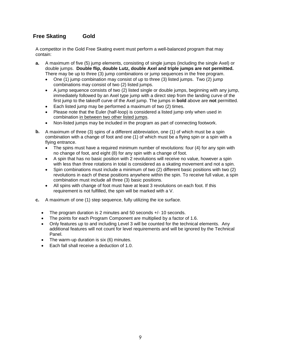# **Free Skating Gold**

A competitor in the Gold Free Skating event must perform a well-balanced program that may contain:

- **a.** A maximum of five (5) jump elements, consisting of single jumps (including the single Axel) or double jumps. **Double flip, double Lutz, double Axel and triple jumps are not permitted.** There may be up to three (3) jump combinations or jump sequences in the free program.
	- One (1) jump combination may consist of up to three (3) listed jumps. Two (2) jump combinations may consist of two (2) listed jumps.
	- A jump sequence consists of two (2) listed single or double jumps, beginning with any jump, immediately followed by an Axel type jump with a direct step from the landing curve of the first jump to the takeoff curve of the Axel jump. The jumps in **bold** above are **not** permitted.
	- Each listed jump may be performed a maximum of two (2) times.
	- Please note that the Euler (half-loop) is considered a listed jump only when used in combination in between two other listed jumps.
	- Non-listed jumps may be included in the program as part of connecting footwork.
- **b.** A maximum of three (3) spins of a different abbreviation, one (1) of which must be a spin combination with a change of foot and one (1) of which must be a flying spin or a spin with a flying entrance.
	- The spins must have a required minimum number of revolutions: four (4) for any spin with no change of foot, and eight (8) for any spin with a change of foot.
	- A spin that has no basic position with 2 revolutions will receive no value, however a spin with less than three rotations in total is considered as a skating movement and not a spin.
	- Spin combinations must include a minimum of two (2) different basic positions with two (2) revolutions in each of these positions anywhere within the spin. To receive full value, a spin combination must include all three (3) basic positions.
	- All spins with change of foot must have at least 3 revolutions on each foot. If this requirement is not fulfilled, the spin will be marked with a V.
- **c.** A maximum of one (1) step sequence, fully utilizing the ice surface.
	- The program duration is 2 minutes and 50 seconds +/- 10 seconds.
	- The points for each Program Component are multiplied by a factor of 1.6.
	- Only features up to and including Level 3 will be counted for the technical elements. Any additional features will not count for level requirements and will be ignored by the Technical Panel.
	- The warm-up duration is six (6) minutes.
	- Each fall shall receive a deduction of 1.0.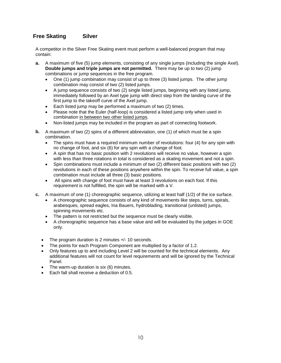### **Free Skating Silver**

A competitor in the Silver Free Skating event must perform a well-balanced program that may contain:

- **a.** A maximum of five (5) jump elements, consisting of any single jumps (including the single Axel). **Double jumps and triple jumps are not permitted.** There may be up to two (2) jump combinations or jump sequences in the free program.
	- One (1) jump combination may consist of up to three (3) listed jumps. The other jump combination may consist of two (2) listed jumps.
	- A jump sequence consists of two (2) single listed jumps, beginning with any listed jump, immediately followed by an Axel type jump with direct step from the landing curve of the first jump to the takeoff curve of the Axel jump.
	- Each listed jump may be performed a maximum of two (2) times.
	- Please note that the Euler (half-loop) is considered a listed jump only when used in combination in between two other listed jumps.
	- Non-listed jumps may be included in the program as part of connecting footwork.
- **b.** A maximum of two (2) spins of a different abbreviation, one (1) of which must be a spin combination.
	- The spins must have a required minimum number of revolutions: four (4) for any spin with no change of foot, and six (6) for any spin with a change of foot.
	- A spin that has no basic position with 2 revolutions will receive no value, however a spin with less than three rotations in total is considered as a skating movement and not a spin.
	- Spin combinations must include a minimum of two (2) different basic positions with two (2) revolutions in each of these positions anywhere within the spin. To receive full value, a spin combination must include all three (3) basic positions.
	- All spins with change of foot must have at least 3 revolutions on each foot. If this requirement is not fulfilled, the spin will be marked with a V.
- **c.** A maximum of one (1) choreographic sequence, utilizing at least half (1/2) of the ice surface.
	- A choreographic sequence consists of any kind of movements like steps, turns, spirals, arabesques, spread eagles, Ina Bauers, hydroblading, transitional (unlisted) jumps, spinning movements etc.
	- The pattern is not restricted but the sequence must be clearly visible.
	- A choreographic sequence has a base value and will be evaluated by the judges in GOE only.
	- The program duration is 2 minutes +/- 10 seconds.
	- The points for each Program Component are multiplied by a factor of 1.2.
	- Only features up to and including Level 2 will be counted for the technical elements. Any additional features will not count for level requirements and will be ignored by the Technical Panel.
	- The warm-up duration is six (6) minutes.
	- Each fall shall receive a deduction of 0.5.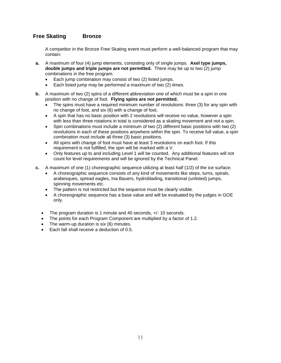## **Free Skating Bronze**

A competitor in the Bronze Free Skating event must perform a well-balanced program that may contain:

- **a.** A maximum of four (4) jump elements, consisting only of single jumps. **Axel type jumps, double jumps and triple jumps are not permitted.** There may be up to two (2) jump combinations in the free program.
	- Each jump combination may consist of two (2) listed jumps.
	- Each listed jump may be performed a maximum of two (2) times.
- **b.** A maximum of two (2) spins of a different abbreviation one of which must be a spin in one position with no change of foot. **Flying spins are not permitted.**
	- The spins must have a required minimum number of revolutions: three (3) for any spin with no change of foot, and six (6) with a change of foot.
	- A spin that has no basic position with 2 revolutions will receive no value, however a spin with less than three rotations in total is considered as a skating movement and not a spin.
	- Spin combinations must include a minimum of two (2) different basic positions with two (2) revolutions in each of these positions anywhere within the spin. To receive full value, a spin combination must include all three (3) basic positions.
	- All spins with change of foot must have at least 3 revolutions on each foot. If this requirement is not fulfilled, the spin will be marked with a V.
	- Only features up to and including Level 1 will be counted. Any additional features will not count for level requirements and will be ignored by the Technical Panel.
- **c.** A maximum of one (1) choreographic sequence utilizing at least half (1/2) of the ice surface.
	- A choreographic sequence consists of any kind of movements like steps, turns, spirals, arabesques, spread eagles, Ina Bauers, hydroblading, transitional (unlisted) jumps, spinning movements etc.
	- The pattern is not restricted but the sequence must be clearly visible.
	- A choreographic sequence has a base value and will be evaluated by the judges in GOE only.
	- The program duration is 1 minute and 40 seconds,  $+/- 10$  seconds.
	- The points for each Program Component are multiplied by a factor of 1.2.
	- The warm-up duration is six (6) minutes.
	- Each fall shall receive a deduction of 0.5.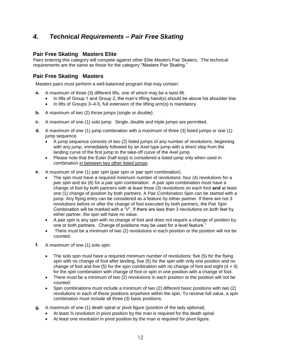# *4. Technical Requirements – Pair Free Skating*

### **Pair Free Skating Masters Elite**

Pairs entering this category will compete against other Elite Masters Pair Skaters. The technical requirements are the same as those for the category "Masters Pair Skating."

### **Pair Free Skating Masters**

Masters pairs must perform a well-balanced program that may contain:

- **a.** A maximum of three (3) different lifts, one of which may be a twist lift.
	- In lifts of Group 1 and Group 2, the man's lifting hand(s) should be above his shoulder line.
	- In lifts of Groups 3–4-5, full extension of the lifting arm(s) is mandatory.
- **b.** A maximum of two (2) throw jumps (single or double).
- **c.** A maximum of one (1) solo jump. Single, double and triple jumps are permitted.
- **d.** A maximum of one (1) jump combination with a maximum of three (3) listed jumps or one (1) jump sequence.
	- A jump sequence consists of two (2) listed jumps of any number of revolutions, beginning with any jump, immediately followed by an Axel type jump with a direct step from the landing curve of the first jump to the take-off curve of the Axel jump.
	- Please note that the Euler (half-loop) is considered a listed jump only when used in combination in between two other listed jumps.
- **e.** A maximum of one (1) pair spin (pair spin or pair spin combination).
	- The spin must have a required minimum number of revolutions: four (4) revolutions for a pair spin and six (6) for a pair spin combination. A pair spin combination must have a change of foot by both partners with at least three (3) revolutions on each foot **and** at least one (1) change of position by both partners. A Pair Combination Spin can be started with a jump. Any flying entry can be considered as a feature by either partner. If there are not 3 revolutions before or after the change of foot executed by both partners, the Pair Spin Combination will be marked with a "V". If there are less than 3 revolutions on both feet by either partner, the spin will have no value.
	- A pair spin is any spin with no change of foot and does not require a change of position by one or both partners. Change of positions may be used for a level feature."
	- There must be a minimum of two (2) revolutions in each position or the position will not be counted.
- **f.** A maximum of one (1) solo spin.
	- The solo spin must have a required minimum number of revolutions: five (5) for the flying spin with no change of foot after landing, five (5) for the spin with only one position and no change of foot and five (5) for the spin combination with no change of foot and eight  $(4 + 4)$ for the spin combination with change of foot or spin in one position with a change of foot.
	- There must be a minimum of two (2) revolutions in each position or the position will not be counted.
	- Spin combinations must include a minimum of two (2) different basic positions with two (2) revolutions in each of these positions anywhere within the spin. To receive full value, a spin combination must include all three (3) basic positions.
- **g.** A maximum of one (1) death spiral or pivot figure (position of the lady optional).
	- At least ¾ revolution in pivot position by the man is required for the death spiral.
	- At least one revolution in pivot position by the man is required for pivot figure.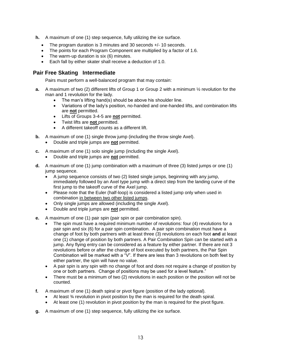- **h.** A maximum of one (1) step sequence, fully utilizing the ice surface.
	- The program duration is 3 minutes and 30 seconds +/- 10 seconds.
	- The points for each Program Component are multiplied by a factor of 1.6.
	- The warm-up duration is six (6) minutes.
	- Each fall by either skater shall receive a deduction of 1.0.

## **Pair Free Skating Intermediate**

Pairs must perform a well-balanced program that may contain:

- **a.** A maximum of two (2) different lifts of Group 1 or Group 2 with a minimum  $\frac{1}{2}$  revolution for the man and 1 revolution for the lady.
	- The man's lifting hand(s) should be above his shoulder line.
	- Variations of the lady's position, no-handed and one-handed lifts, and combination lifts are **not** permitted.
	- Lifts of Groups 3-4-5 are **not** permitted.
	- Twist lifts are **not** permitted.
	- A different takeoff counts as a different lift.
- **b.** A maximum of one (1) single throw jump (including the throw single Axel).
	- Double and triple jumps are **not** permitted.
- **c.** A maximum of one (1) solo single jump (including the single Axel).
	- Double and triple jumps are **not** permitted.
- **d.** A maximum of one (1) jump combination with a maximum of three (3) listed jumps or one (1) jump sequence.
	- A jump sequence consists of two (2) listed single jumps, beginning with any jump, immediately followed by an Axel type jump with a direct step from the landing curve of the first jump to the takeoff curve of the Axel jump.
	- Please note that the Euler (half-loop) is considered a listed jump only when used in combination in between two other listed jumps.
	- Only single jumps are allowed (including the single Axel).
	- Double and triple jumps are **not** permitted.
- **e.** A maximum of one (1) pair spin (pair spin or pair combination spin).
	- The spin must have a required minimum number of revolutions: four (4) revolutions for a pair spin and six (6) for a pair spin combination. A pair spin combination must have a change of foot by both partners with at least three (3) revolutions on each foot **and** at least one (1) change of position by both partners. A Pair Combination Spin can be started with a jump. Any flying entry can be considered as a feature by either partner. If there are not 3 revolutions before or after the change of foot executed by both partners, the Pair Spin Combination will be marked with a "V". If there are less than 3 revolutions on both feet by either partner, the spin will have no value.
	- A pair spin is any spin with no change of foot and does not require a change of position by one or both partners. Change of positions may be used for a level feature."
	- There must be a minimum of two (2) revolutions in each position or the position will not be counted.
- **f.** A maximum of one (1) death spiral or pivot figure (position of the lady optional).
	- At least ¾ revolution in pivot position by the man is required for the death spiral.
	- At least one (1) revolution in pivot position by the man is required for the pivot figure.
- **g.** A maximum of one (1) step sequence, fully utilizing the ice surface.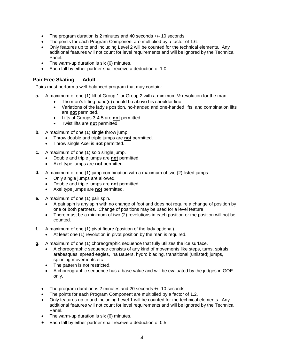- The program duration is 2 minutes and 40 seconds +/- 10 seconds.
- The points for each Program Component are multiplied by a factor of 1.6.
- Only features up to and including Level 2 will be counted for the technical elements. Any additional features will not count for level requirements and will be ignored by the Technical Panel.
- The warm-up duration is six (6) minutes.
- Each fall by either partner shall receive a deduction of 1.0.

### **Pair Free Skating Adult**

Pairs must perform a well-balanced program that may contain:

- **a.** A maximum of one (1) lift of Group 1 or Group 2 with a minimum 1/2 revolution for the man.
	- The man's lifting hand(s) should be above his shoulder line.
	- Variations of the lady's position, no-handed and one-handed lifts, and combination lifts are **not** permitted.
	- Lifts of Groups 3-4-5 are **not** permitted,
	- Twist lifts are **not** permitted.
- **b.** A maximum of one (1) single throw jump.
	- Throw double and triple jumps are **not** permitted.
	- Throw single Axel is **not** permitted.
- **c.** A maximum of one (1) solo single jump.
	- Double and triple jumps are **not** permitted.
	- Axel type jumps are **not** permitted.
- **d.** A maximum of one (1) jump combination with a maximum of two (2) listed jumps.
	- Only single jumps are allowed.
	- Double and triple jumps are **not** permitted.
	- Axel type jumps are **not** permitted.
- **e.** A maximum of one (1) pair spin.
	- A pair spin is any spin with no change of foot and does not require a change of position by one or both partners. Change of positions may be used for a level feature.
	- There must be a minimum of two (2) revolutions in each position or the position will not be counted.
- **f.** A maximum of one (1) pivot figure (position of the lady optional).
	- At least one (1) revolution in pivot position by the man is required.
- **g.** A maximum of one (1) choreographic sequence that fully utilizes the ice surface.
	- A choreographic sequence consists of any kind of movements like steps, turns, spirals, arabesques, spread eagles, Ina Bauers, hydro blading, transitional (unlisted) jumps, spinning movements etc.
	- The pattern is not restricted.
	- A choreographic sequence has a base value and will be evaluated by the judges in GOE only.
	- The program duration is 2 minutes and 20 seconds +/- 10 seconds.
	- The points for each Program Component are multiplied by a factor of 1.2.
	- Only features up to and including Level 1 will be counted for the technical elements. Any additional features will not count for level requirements and will be ignored by the Technical Panel.
	- The warm-up duration is six (6) minutes.
	- Each fall by either partner shall receive a deduction of 0.5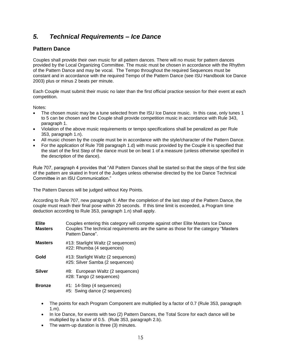# *5. Technical Requirements – Ice Dance*

### **Pattern Dance**

Couples shall provide their own music for all pattern dances. There will no music for pattern dances provided by the Local Organizing Committee. The music must be chosen in accordance with the Rhythm of the Pattern Dance and may be vocal. The Tempo throughout the required Sequences must be constant and in accordance with the required Tempo of the Pattern Dance (see ISU Handbook Ice Dance 2003) plus or minus 2 beats per minute.

Each Couple must submit their music no later than the first official practice session for their event at each competition.

Notes:

- The chosen music may be a tune selected from the ISU Ice Dance music. In this case, only tunes 1 to 5 can be chosen and the Couple shall provide competition music in accordance with Rule 343, paragraph 1.
- Violation of the above music requirements or tempo specifications shall be penalized as per Rule 353, paragraph 1.n).
- All music chosen by the couple must be in accordance with the style/character of the Pattern Dance.
- For the application of Rule 708 paragraph 1.d) with music provided by the Couple it is specified that the start of the first Step of the dance must be on beat 1 of a measure (unless otherwise specified in the description of the dance).

Rule 707, paragraph 4 provides that "All Pattern Dances shall be started so that the steps of the first side of the pattern are skated in front of the Judges unless otherwise directed by the Ice Dance Technical Committee in an ISU Communication."

The Pattern Dances will be judged without Key Points.

According to Rule 707, new paragraph 6: After the completion of the last step of the Pattern Dance, the couple must reach their final pose within 20 seconds. If this time limit is exceeded, a Program time deduction according to Rule 353, paragraph 1.n) shall apply.

- **Elite Masters** Couples entering this category will compete against other Elite Masters Ice Dance Couples The technical requirements are the same as those for the category "Masters Pattern Dance".
- **Masters** #13: Starlight Waltz (2 sequences) #22: Rhumba (4 sequences)
- **Gold** #13: Starlight Waltz (2 sequences) #25: Silver Samba (2 sequences)
- **Silver** #8: European Waltz (2 sequences) #28: Tango (2 sequences)
- **Bronze** #1: 14-Step (4 sequences) #5: Swing dance (2 sequences)
	- The points for each Program Component are multiplied by a factor of 0.7 (Rule 353, paragraph 1.m).
	- In Ice Dance, for events with two (2) Pattern Dances, the Total Score for each dance will be multiplied by a factor of 0.5. (Rule 353, paragraph 2.b).
	- The warm-up duration is three (3) minutes.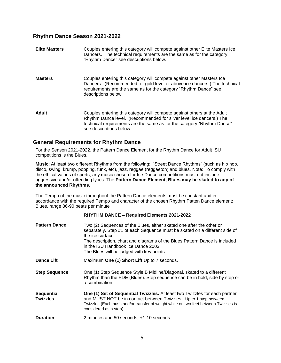### **Rhythm Dance Season 2021-2022**

| <b>Elite Masters</b> | Couples entering this category will compete against other Elite Masters Ice<br>Dancers. The technical requirements are the same as for the category<br>"Rhythm Dance" see descriptions below.                                                       |
|----------------------|-----------------------------------------------------------------------------------------------------------------------------------------------------------------------------------------------------------------------------------------------------|
| <b>Masters</b>       | Couples entering this category will compete against other Masters Ice<br>Dancers. (Recommended for gold level or above ice dancers.) The technical<br>requirements are the same as for the category "Rhythm Dance" see<br>descriptions below.       |
| <b>Adult</b>         | Couples entering this category will compete against others at the Adult<br>Rhythm Dance level. (Recommended for silver level ice dancers.) The<br>technical requirements are the same as for the category "Rhythm Dance"<br>see descriptions below. |

### **General Requirements for Rhythm Dance**

For the Season 2021-2022, the Pattern Dance Element for the Rhythm Dance for Adult ISU competitions is the Blues.

**Music**: At least two different Rhythms from the following: "Street Dance Rhythms" (such as hip hop, disco, swing, krump, popping, funk, etc), jazz, reggae (reggaeton) and blues. Note: To comply with the ethical values of sports, any music chosen for Ice Dance competitions must not include aggressive and/or offending lyrics. The **Pattern Dance Element, Blues may be skated to any of the announced Rhythms.**

The Tempo of the music throughout the Pattern Dance elements must be constant and in accordance with the required Tempo and character of the chosen Rhythm Patten Dance element: Blues, range 86-90 beats per minute

#### **RHYTHM DANCE – Required Elements 2021-2022**

| <b>Pattern Dance</b>                 | Two (2) Sequences of the Blues, either skated one after the other or<br>separately. Step #1 of each Sequence must be skated on a different side of<br>the ice surface.<br>The description, chart and diagrams of the Blues Pattern Dance is included<br>in the ISU Handbook Ice Dance 2003.<br>The Blues will be judged with key points. |
|--------------------------------------|------------------------------------------------------------------------------------------------------------------------------------------------------------------------------------------------------------------------------------------------------------------------------------------------------------------------------------------|
| <b>Dance Lift</b>                    | Maximum One (1) Short Lift Up to 7 seconds.                                                                                                                                                                                                                                                                                              |
| <b>Step Sequence</b>                 | One (1) Step Sequence Style B Midline/Diagonal, skated to a different<br>Rhythm than the PDE (Blues). Step sequence can be in hold, side by step or<br>a combination.                                                                                                                                                                    |
| <b>Sequential</b><br><b>Twizzles</b> | One (1) Set of Sequential Twizzles. At least two Twizzles for each partner<br>and MUST NOT be in contact between Twizzles. Up to 1 step between<br>Twizzles (Each push and/or transfer of weight while on two feet between Twizzles is<br>considered as a step)                                                                          |
| <b>Duration</b>                      | 2 minutes and 50 seconds, +/- 10 seconds.                                                                                                                                                                                                                                                                                                |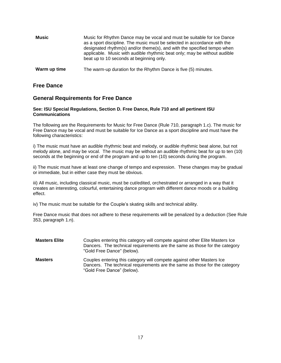| Music        | Music for Rhythm Dance may be vocal and must be suitable for Ice Dance<br>as a sport discipline. The music must be selected in accordance with the<br>designated rhythm(s) and/or theme(s), and with the specified tempo when<br>applicable. Music with audible rhythmic beat only; may be without audible<br>beat up to 10 seconds at beginning only. |
|--------------|--------------------------------------------------------------------------------------------------------------------------------------------------------------------------------------------------------------------------------------------------------------------------------------------------------------------------------------------------------|
| Warm up time | The warm-up duration for the Rhythm Dance is five (5) minutes.                                                                                                                                                                                                                                                                                         |

#### **Free Dance**

#### **General Requirements for Free Dance**

#### **See: ISU Special Regulations, Section D. Free Dance, Rule 710 and all pertinent ISU Communications**

The following are the Requirements for Music for Free Dance (Rule 710, paragraph 1.c). The music for Free Dance may be vocal and must be suitable for Ice Dance as a sport discipline and must have the following characteristics:

i) The music must have an audible rhythmic beat and melody, or audible rhythmic beat alone, but not melody alone, and may be vocal. The music may be without an audible rhythmic beat for up to ten (10) seconds at the beginning or end of the program and up to ten (10) seconds during the program.

ii) The music must have at least one change of tempo and expression. These changes may be gradual or immediate, but in either case they must be obvious.

iii) All music, including classical music, must be cut/edited, orchestrated or arranged in a way that it creates an interesting, colourful, entertaining dance program with different dance moods or a building effect.

iv) The music must be suitable for the Couple's skating skills and technical ability.

Free Dance music that does not adhere to these requirements will be penalized by a deduction (See Rule 353, paragraph 1.n).

| <b>Masters Elite</b> | Couples entering this category will compete against other Elite Masters Ice<br>Dancers. The technical requirements are the same as those for the category<br>"Gold Free Dance" (below). |
|----------------------|-----------------------------------------------------------------------------------------------------------------------------------------------------------------------------------------|
| <b>Masters</b>       | Couples entering this category will compete against other Masters Ice<br>Dancers. The technical requirements are the same as those for the category<br>"Gold Free Dance" (below).       |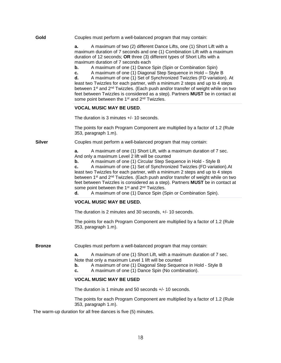| Gold          | Couples must perform a well-balanced program that may contain:                                                                                                                                                                                                                                                                                                                                                                                                                                                                                                                                                                                                                                              |  |
|---------------|-------------------------------------------------------------------------------------------------------------------------------------------------------------------------------------------------------------------------------------------------------------------------------------------------------------------------------------------------------------------------------------------------------------------------------------------------------------------------------------------------------------------------------------------------------------------------------------------------------------------------------------------------------------------------------------------------------------|--|
|               | A maximum of two (2) different Dance Lifts, one (1) Short Lift with a<br>a.<br>maximum duration of 7 seconds and one (1) Combination Lift with a maximum<br>duration of 12 seconds; OR three (3) different types of Short Lifts with a<br>maximum duration of 7 seconds each                                                                                                                                                                                                                                                                                                                                                                                                                                |  |
|               | A maximum of one (1) Dance Spin (Spin or Combination Spin)<br>b.<br>A maximum of one (1) Diagonal Step Sequence in Hold - Style B<br>C.<br>A maximum of one (1) Set of Synchronized Twizzles (FD variation). At<br>d.<br>least two Twizzles for each partner, with a minimum 2 steps and up to 4 steps<br>between 1 <sup>st</sup> and 2 <sup>nd</sup> Twizzles. (Each push and/or transfer of weight while on two<br>feet between Twizzles is considered as a step). Partners MUST be in contact at<br>some point between the 1 <sup>st</sup> and 2 <sup>nd</sup> Twizzles.                                                                                                                                 |  |
|               | <b>VOCAL MUSIC MAY BE USED.</b>                                                                                                                                                                                                                                                                                                                                                                                                                                                                                                                                                                                                                                                                             |  |
|               | The duration is 3 minutes +/- 10 seconds.                                                                                                                                                                                                                                                                                                                                                                                                                                                                                                                                                                                                                                                                   |  |
|               | The points for each Program Component are multiplied by a factor of 1.2 (Rule<br>353, paragraph 1.m).                                                                                                                                                                                                                                                                                                                                                                                                                                                                                                                                                                                                       |  |
| <b>Silver</b> | Couples must perform a well-balanced program that may contain:                                                                                                                                                                                                                                                                                                                                                                                                                                                                                                                                                                                                                                              |  |
|               | a.<br>A maximum of one (1) Short Lift, with a maximum duration of 7 sec.<br>And only a maximum Level 2 lift will be counted<br>A maximum of one (1) Circular Step Sequence in Hold - Style B<br>b.<br>A maximum of one (1) Set of Synchronized Twizzles (FD variation). At<br>c.<br>least two Twizzles for each partner, with a minimum 2 steps and up to 4 steps<br>between 1 <sup>st</sup> and 2 <sup>nd</sup> Twizzles. (Each push and/or transfer of weight while on two<br>feet between Twizzles is considered as a step). Partners MUST be in contact at<br>some point between the 1 <sup>st</sup> and 2 <sup>nd</sup> Twizzles.<br>A maximum of one (1) Dance Spin (Spin or Combination Spin).<br>d. |  |
|               | <b>VOCAL MUSIC MAY BE USED.</b>                                                                                                                                                                                                                                                                                                                                                                                                                                                                                                                                                                                                                                                                             |  |
|               | The duration is 2 minutes and 30 seconds, +/- 10 seconds.                                                                                                                                                                                                                                                                                                                                                                                                                                                                                                                                                                                                                                                   |  |
|               | The points for each Program Component are multiplied by a factor of 1.2 (Rule<br>353, paragraph 1.m).                                                                                                                                                                                                                                                                                                                                                                                                                                                                                                                                                                                                       |  |
| <b>Bronze</b> | Couples must perform a well-balanced program that may contain:                                                                                                                                                                                                                                                                                                                                                                                                                                                                                                                                                                                                                                              |  |
|               | A maximum of one (1) Short Lift, with a maximum duration of 7 sec.<br>а.<br>Note that only a maximum Level 1 lift will be counted<br>A maximum of one (1) Diagonal Step Sequence in Hold - Style B<br>b.<br>A maximum of one (1) Dance Spin (No combination).<br>c.                                                                                                                                                                                                                                                                                                                                                                                                                                         |  |
|               | <b>VOCAL MUSIC MAY BE USED</b>                                                                                                                                                                                                                                                                                                                                                                                                                                                                                                                                                                                                                                                                              |  |
|               | The duration is 1 minute and 50 seconds +/- 10 seconds.                                                                                                                                                                                                                                                                                                                                                                                                                                                                                                                                                                                                                                                     |  |
|               | The points for each Program Component are multiplied by a factor of 1.2 (Rule<br>353, paragraph 1.m).                                                                                                                                                                                                                                                                                                                                                                                                                                                                                                                                                                                                       |  |

The warm-up duration for all free dances is five (5) minutes.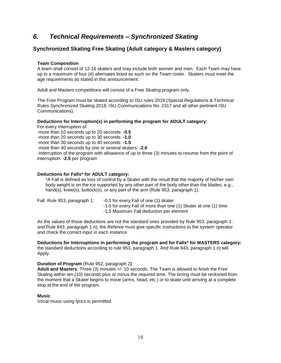# *6. Technical Requirements – Synchronized Skating*

# **Synchronized Skating Free Skating (Adult category & Masters category)**

#### **Team Composition**

A team shall consist of 12-16 skaters and may include both women and men. Each Team may have up to a maximum of four (4) alternates listed as such on the Team roster. Skaters must meet the age requirements as stated in this announcement.

Adult and Masters competitions will consist of a Free Skating program only.

The Free Program must be skated according to ISU rules 2019 (Special Regulations & Technical Rules Synchronized Skating 2018, ISU Communications No. 2317 and all other pertinent ISU Communications).

#### **Deductions for Interruption(s) in performing the program for ADULT category:**

For every Interruption of: -more than 10 seconds up to 20 seconds: **-0.5** -more than 20 seconds up to 30 seconds: **-1.0** -more than 30 seconds up to 40 seconds: **-1.5** -more than 40 seconds by one or several skaters: **-2.0** -Interruption of the program with allowance of up to three (3) minutes to resume from the point of interruption: **-2.5** per program

#### **Deductions for Falls\* for ADULT category:**

\*A Fall is defined as loss of control by a Skater with the result that the majority of his/her own body weight is on the ice supported by any other part of the body other than the blades, e.g., hand(s), knee(s), buttock(s), or any part of the arm (Rule 953, paragraph 1).

| Fall Rule 953, paragraph 1: | -0.5 for every Fall of one (1) skater                           |
|-----------------------------|-----------------------------------------------------------------|
|                             | -1.0 for every Fall of more than one (1) Skater at one (1) time |
|                             | -1.5 Maximum Fall deduction per element                         |

As the values of those deductions are not the standard ones provided by Rule 953, paragraph 1. and Rule 843, paragraph 1.n), the Referee must give specific instructions to the system operator and check the correct input in each instance.

**Deductions for Interruptions in performing the program and for Falls\* for MASTERS category:** the standard deductions according to rule 953, paragraph 1. And Rule 843, paragraph 1.n) will Apply.

#### **Duration of Program** (Rule 952, paragraph 2**)**

**Adult and Masters**: Three (3) minutes +/- 10 seconds. The Team is allowed to finish the Free Skating within ten (10) seconds plus or minus the required time. The timing must be reckoned from the moment that a Skater begins to move (arms, head, etc.) or to skate until arriving at a complete stop at the end of the program.

#### **Music**

Vocal music using lyrics is permitted.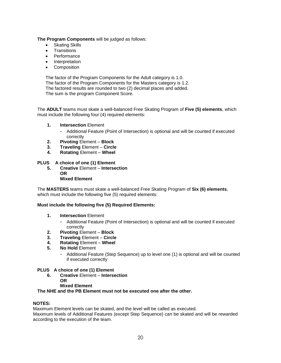#### **The Program Components** will be judged as follows:

- Skating Skills
- **Transitions**
- Performance
- Interpretation
- Composition

The factor of the Program Components for the Adult category is 1.0. The factor of the Program Components for the Masters category is 1.2. The factored results are rounded to two (2) decimal places and added. The sum is the program Component Score.

The **ADULT** teams must skate a well-balanced Free Skating Program of **Five (5) elements**, which must include the following four (4) required elements:

- **1. Intersection** Element
	- Additional Feature (Point of Intersection) is optional and will be counted if executed correctly
- **2. Pivoting** Element **Block**
- **3. Traveling** Element **Circle**
- **4. Rotating** Element **Wheel**

### **PLUS A choice of one (1) Element**

**5. Creative** Element – **Intersection OR Mixed Element**

The **MASTERS** teams must skate a well-balanced Free Skating Program of **Six (6) elements**, which must include the following five (5) required elements:

#### **Must include the following five (5) Required Elements:**

- **1. Intersection** Element
	- Additional Feature (Point of Intersection) is optional and will be counted if executed correctly
- **2. Pivoting** Element **Block**
- **3. Traveling** Element **Circle**
- **4. Rotating** Element **Wheel**
- **5. No Hold** Element
	- Additional Feature (Step Sequence) up to level one (1) is optional and will be counted if executed correctly

#### **PLUS A choice of one (1) Element**

- **6. Creative** Element **Intersection OR**
	- **Mixed Element**

**The NHE and the PB Element must not be executed one after the other.**

#### **NOTES:**

Maximum Element levels can be skated, and the level will be called as executed. Maximum levels of Additional Features (except Step Sequence) can be skated and will be rewarded

according to the execution of the team.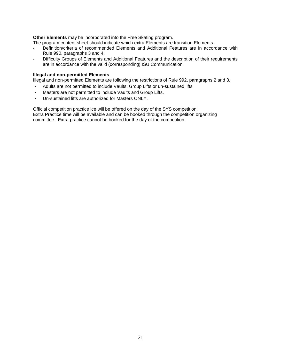#### **Other Elements** may be incorporated into the Free Skating program.

The program content sheet should indicate which extra Elements are transition Elements.

- Definition/criteria of recommended Elements and Additional Features are in accordance with Rule 990, paragraphs 3 and 4.
- Difficulty Groups of Elements and Additional Features and the description of their requirements are in accordance with the valid (corresponding) ISU Communication.

#### **Illegal and non-permitted Elements**

Illegal and non-permitted Elements are following the restrictions of Rule 992, paragraphs 2 and 3.

- Adults are not permitted to include Vaults, Group Lifts or un-sustained lifts.
- Masters are not permitted to include Vaults and Group Lifts.
- Un-sustained lifts are authorized for Masters ONLY.

Official competition practice ice will be offered on the day of the SYS competition. Extra Practice time will be available and can be booked through the competition organizing committee. Extra practice cannot be booked for the day of the competition.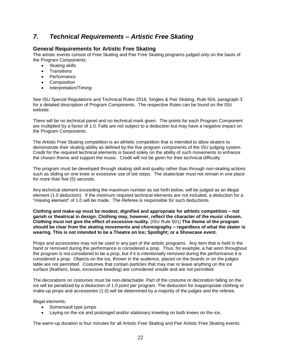# *7. Technical Requirements – Artistic Free Skating*

### **General Requirements for Artistic Free Skating**

The artistic events consist of Free Skating and Pair Free Skating programs judged only on the basis of the Program Components:

- Skating skills
- **Transitions**
- Performance
- Composition
- Interpretation/Timing

See ISU Special Regulations and Technical Rules 2018, Singles & Pair Skating, Rule 504, paragraph 3 for a detailed description of Program Components. The respective Rules can be found on the ISU website.

There will be no technical panel and no technical mark given. The points for each Program Component are multiplied by a factor of 1.0. Falls are not subject to a deduction but may have a negative impact on the Program Components.

The Artistic Free Skating competition is an athletic competition that is intended to allow skaters to demonstrate their skating ability as defined by the five program components of the ISU judging system. Credit for the required technical elements is based solely on the ability of such movements to enhance the chosen theme and support the music. Credit will not be given for their technical difficulty.

The program must be developed through skating skill and quality rather than through non-skating actions such as sliding on one knee or excessive use of toe steps. The skater/pair must not remain in one place for more than five (5) seconds.

Any technical element exceeding the maximum number as set forth below, will be judged as an illegal element (1.0 deduction). If the minimum required technical elements are not included, a deduction for a "missing element" of 1.0 will be made. The Referee is responsible for such deductions.

**Clothing and make-up must be modest, dignified and appropriate for athletic competition – not garish or theatrical in design. Clothing may, however, reflect the character of the music chosen. Clothing must not give the effect of excessive nudity.** (ISU Rule 501) **The theme of the program should be clear from the skating movements and choreography – regardless of what the skater is wearing. This is not intended to be a Theatre on Ice; Spotlight; or a Showcase event.**

Props and accessories may not be used in any part of the artistic programs. Any item that is held in the hand or removed during the performance is considered a prop. Thus, for example, a hat worn throughout the program is not considered to be a prop, but if it is intentionally removed during the performance it is considered a prop. Objects on the ice, thrown in the audience, placed on the boards or on the judges table are not permitted. Costumes that contain particles that may mar or leave anything on the ice surface (feathers, boas, excessive beading) are considered unsafe and are not permitted.

The decorations on costumes must be non-detachable. Part of the costume or decoration falling on the ice will be penalized by a deduction of 1.0 point per program. The deduction for inappropriate clothing or make-up props and accessories (1.0) will be determined by a majority of the judges and the referee.

Illegal elements:

- Somersault type jumps
- Laying on the ice and prolonged and/or stationary kneeling on both knees on the ice.

The warm-up duration is four minutes for all Artistic Free Skating and Pair Artistic Free Skating events.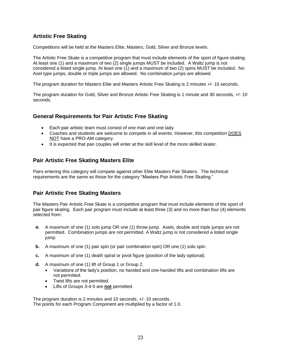# **Artistic Free Skating**

Competitions will be held at the Masters Elite, Masters, Gold, Silver and Bronze levels.

The Artistic Free Skate is a competitive program that must include elements of the sport of figure skating. At least one (1) and a maximum of two (2) single jumps MUST be included. A Waltz jump is not considered a listed single jump. At least one (1) and a maximum of two (2) spins MUST be included. No Axel type jumps, double or triple jumps are allowed. No combination jumps are allowed.

The program duration for Masters Elite and Masters Artistic Free Skating is 2 minutes +/- 10 seconds.

The program duration for Gold, Silver and Bronze Artistic Free Skating is 1 minute and 30 seconds, +/- 10 seconds.

### **General Requirements for Pair Artistic Free Skating**

- Each pair artistic team must consist of one man and one lady.
- Coaches and students are welcome to compete in all events. However, this competition DOES NOT have a PRO-AM category.
- It is expected that pair couples will enter at the skill level of the more skilled skater.

### **Pair Artistic Free Skating Masters Elite**

Pairs entering this category will compete against other Elite Masters Pair Skaters. The technical requirements are the same as those for the category "Masters Pair Artistic Free Skating."

### **Pair Artistic Free Skating Masters**

The Masters Pair Artistic Free Skate is a competitive program that must include elements of the sport of pair figure skating. Each pair program must include at least three (3) and no more than four (4) elements selected from:

- **a.** A maximum of one (1) solo jump OR one (1) throw jump. Axels, double and triple jumps are not permitted. Combination jumps are not permitted. A Waltz jump is not considered a listed single jump.
- **b.** A maximum of one (1) pair spin (or pair combination spin) OR one (1) solo spin.
- **c.** A maximum of one (1) death spiral or pivot figure (position of the lady optional).
- **d.** A maximum of one (1) lift of Group 1 or Group 2.
	- Variations of the lady's position, no handed and one-handed lifts and combination lifts are not permitted.
	- Twist lifts are not permitted.
	- Lifts of Groups 3-4-5 are **not** permitted.

The program duration is 2 minutes and 10 seconds, +/- 10 seconds. The points for each Program Component are multiplied by a factor of 1.0.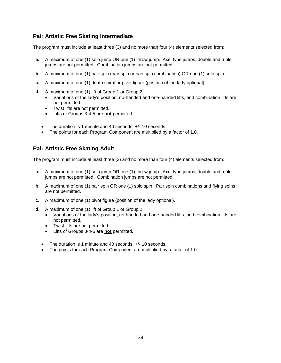# **Pair Artistic Free Skating Intermediate**

The program must include at least three (3) and no more than four (4) elements selected from:

- **a.** A maximum of one (1) solo jump OR one (1) throw jump. Axel type jumps, double and triple jumps are not permitted. Combination jumps are not permitted.
- **b.** A maximum of one (1) pair spin (pair spin or pair spin combination) OR one (1) solo spin.
- **c.** A maximum of one (1) death spiral or pivot figure (position of the lady optional).
- **d.** A maximum of one (1) lift of Group 1 or Group 2.
	- Variations of the lady's position, no-handed and one-handed lifts, and combination lifts are not permitted.
	- Twist lifts are not permitted.
	- Lifts of Groups 3-4-5 are **not** permitted.
	- The duration is 1 minute and 40 seconds,  $+/- 10$  seconds.
	- The points for each Program Component are multiplied by a factor of 1.0.

### **Pair Artistic Free Skating Adult**

The program must include at least three (3) and no more than four (4) elements selected from:

- **a.** A maximum of one (1) solo jump OR one (1) throw jump. Axel type jumps, double and triple jumps are not permitted. Combination jumps are not permitted.
- **b.** A maximum of one (1) pair spin OR one (1) solo spin. Pair spin combinations and flying spins are not permitted.
- **c.** A maximum of one (1) pivot figure (position of the lady optional).
- **d.** A maximum of one (1) lift of Group 1 or Group 2.
	- Variations of the lady's position, no-handed and one-handed lifts, and combination lifts are not permitted.
	- Twist lifts are not permitted.
	- Lifts of Groups 3-4-5 are **not** permitted.
	- The duration is 1 minute and 40 seconds, +/- 10 seconds.
	- The points for each Program Component are multiplied by a factor of 1.0.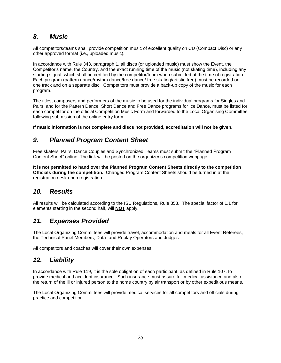# *8. Music*

All competitors/teams shall provide competition music of excellent quality on CD (Compact Disc) or any other approved format (i.e., uploaded music).

In accordance with Rule 343, paragraph 1, all discs (or uploaded music) must show the Event, the Competitor's name, the Country, and the exact running time of the music (not skating time), including any starting signal, which shall be certified by the competitor/team when submitted at the time of registration. Each program (pattern dance/rhythm dance/free dance/ free skating/artistic free) must be recorded on one track and on a separate disc. Competitors must provide a back-up copy of the music for each program.

The titles, composers and performers of the music to be used for the individual programs for Singles and Pairs, and for the Pattern Dance, Short Dance and Free Dance programs for Ice Dance, must be listed for each competitor on the official Competition Music Form and forwarded to the Local Organising Committee following submission of the online entry form.

**If music information is not complete and discs not provided, accreditation will not be given.**

# *9. Planned Program Content Sheet*

Free skaters, Pairs, Dance Couples and Synchronized Teams must submit the "Planned Program Content Sheet" online. The link will be posted on the organizer's competition webpage.

**It is not permitted to hand over the Planned Program Content Sheets directly to the competition Officials during the competition.** Changed Program Content Sheets should be turned in at the registration desk upon registration.

# *10. Results*

All results will be calculated according to the ISU Regulations, Rule 353. The special factor of 1.1 for elements starting in the second half, will **NOT** apply.

# *11. Expenses Provided*

The Local Organizing Committees will provide travel, accommodation and meals for all Event Referees, the Technical Panel Members, Data- and Replay Operators and Judges.

All competitors and coaches will cover their own expenses.

# *12. Liability*

In accordance with Rule 119, it is the sole obligation of each participant, as defined in Rule 107, to provide medical and accident insurance. Such insurance must assure full medical assistance and also the return of the ill or injured person to the home country by air transport or by other expeditious means.

The Local Organizing Committees will provide medical services for all competitors and officials during practice and competition.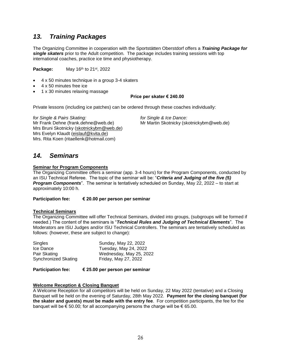# *13. Training Packages*

The Organizing Committee in cooperation with the Sportstätten Oberstdorf offers a *Training Package for single skaters* prior to the Adult competition. The package includes training sessions with top international coaches, practice ice time and physiotherapy.

**Package:** May 16<sup>th</sup> to 21<sup>st</sup>, 2022

- 4 x 50 minutes technique in a group 3-4 skaters
- 4 x 50 minutes free ice
- 1 x 30 minutes relaxing massage

#### **Price per skater € 240.00**

Private lessons (including ice patches) can be ordered through these coaches individually:

*for Single & Pairs Skating: for Single & Ice Dance:* Mr Frank Dehne (frank.dehne@web.de) Mr Martin Skotnicky (skotnickybm@web.de) Mrs Bruni Skotnicky [\(skotnickybm@web.de\)](mailto:skotnickybm@web.de) Mrs Evelyn Klaudt [\(eislauf@kvita.de\)](mailto:eislauf@kvita.de) Mrs. Rita Koen (ritaellenk@hotmail.com)

# *14. Seminars*

#### **Seminar for Program Components**

The Organizing Committee offers a seminar (app. 3-4 hours) for the Program Components, conducted by an ISU Technical Referee. The topic of the seminar will be: "*Criteria and Judging of the five (5) Program Components*". The seminar is tentatively scheduled on Sunday, May 22, 2022 – to start at approximately 10:00 h.

**Participation fee: € 20.00 per person per seminar**

#### **Technical Seminars**

The Organizing Committee will offer Technical Seminars, divided into groups, (subgroups will be formed if needed.) The content of the seminars is "*Technical Rules and Judging of Technical Elements*". The Moderators are ISU Judges and/or ISU Technical Controllers. The seminars are tentatively scheduled as follows: (however, these are subject to change):

| Singles                     | Sunday, May 22, 2022    |
|-----------------------------|-------------------------|
| Ice Dance                   | Tuesday, May 24, 2022   |
| Pair Skating                | Wednesday, May 25, 2022 |
| <b>Synchronized Skating</b> | Friday, May 27, 2022    |

**Participation fee: € 25.00 per person per seminar**

#### **Welcome Reception & Closing Banquet**

A Welcome Reception for all competitors will be held on Sunday, 22 May 2022 (tentative) and a Closing Banquet will be held on the evening of Saturday, 28th May 2022. **Payment for the closing banquet (for the skater and guests) must be made with the entry fee**. For competition participants, the fee for the banquet will be  $\epsilon$  50.00; for all accompanying persons the charge will be  $\epsilon$  65.00.